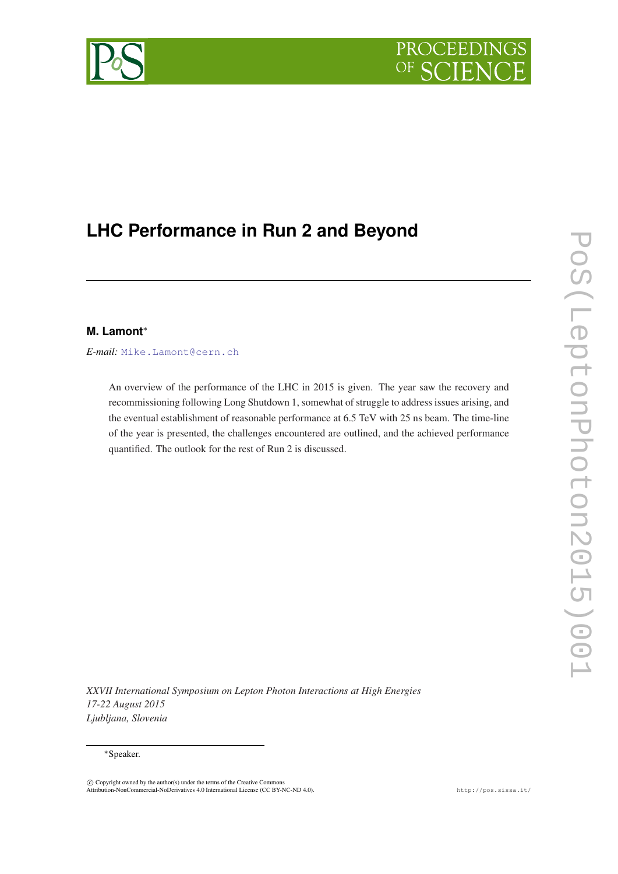# **PROCEEDING**

# **LHC Performance in Run 2 and Beyond**

# **M. Lamont**<sup>∗</sup>

*E-mail:* [Mike.Lamont@cern.ch](mailto:Mike.Lamont@cern.ch)

An overview of the performance of the LHC in 2015 is given. The year saw the recovery and recommissioning following Long Shutdown 1, somewhat of struggle to address issues arising, and the eventual establishment of reasonable performance at 6.5 TeV with 25 ns beam. The time-line of the year is presented, the challenges encountered are outlined, and the achieved performance quantified. The outlook for the rest of Run 2 is discussed.

*XXVII International Symposium on Lepton Photon Interactions at High Energies 17-22 August 2015 Ljubljana, Slovenia*

#### <sup>∗</sup>Speaker.



c Copyright owned by the author(s) under the terms of the Creative Commons Attribution-NonCommercial-NoDerivatives 4.0 International License (CC BY-NC-ND 4.0). http://pos.sissa.it/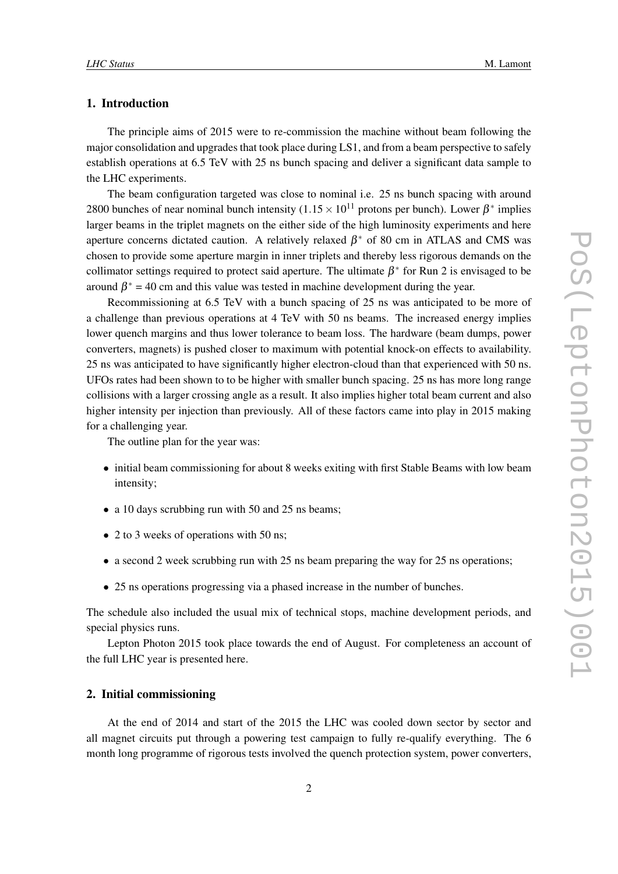# 1. Introduction

The principle aims of 2015 were to re-commission the machine without beam following the major consolidation and upgrades that took place during LS1, and from a beam perspective to safely establish operations at 6.5 TeV with 25 ns bunch spacing and deliver a significant data sample to the LHC experiments.

The beam configuration targeted was close to nominal i.e. 25 ns bunch spacing with around 2800 bunches of near nominal bunch intensity  $(1.15 \times 10^{11}$  protons per bunch). Lower  $\beta^*$  implies larger beams in the triplet magnets on the either side of the high luminosity experiments and here aperture concerns dictated caution. A relatively relaxed  $\beta^*$  of 80 cm in ATLAS and CMS was chosen to provide some aperture margin in inner triplets and thereby less rigorous demands on the collimator settings required to protect said aperture. The ultimate  $\beta^*$  for Run 2 is envisaged to be around  $\beta^* = 40$  cm and this value was tested in machine development during the year.

Recommissioning at 6.5 TeV with a bunch spacing of 25 ns was anticipated to be more of a challenge than previous operations at 4 TeV with 50 ns beams. The increased energy implies lower quench margins and thus lower tolerance to beam loss. The hardware (beam dumps, power converters, magnets) is pushed closer to maximum with potential knock-on effects to availability. 25 ns was anticipated to have significantly higher electron-cloud than that experienced with 50 ns. UFOs rates had been shown to to be higher with smaller bunch spacing. 25 ns has more long range collisions with a larger crossing angle as a result. It also implies higher total beam current and also higher intensity per injection than previously. All of these factors came into play in 2015 making for a challenging year.

The outline plan for the year was:

- initial beam commissioning for about 8 weeks exiting with first Stable Beams with low beam intensity;
- a 10 days scrubbing run with 50 and 25 ns beams;
- 2 to 3 weeks of operations with 50 ns;
- a second 2 week scrubbing run with 25 ns beam preparing the way for 25 ns operations;
- 25 ns operations progressing via a phased increase in the number of bunches.

The schedule also included the usual mix of technical stops, machine development periods, and special physics runs.

Lepton Photon 2015 took place towards the end of August. For completeness an account of the full LHC year is presented here.

# 2. Initial commissioning

At the end of 2014 and start of the 2015 the LHC was cooled down sector by sector and all magnet circuits put through a powering test campaign to fully re-qualify everything. The 6 month long programme of rigorous tests involved the quench protection system, power converters,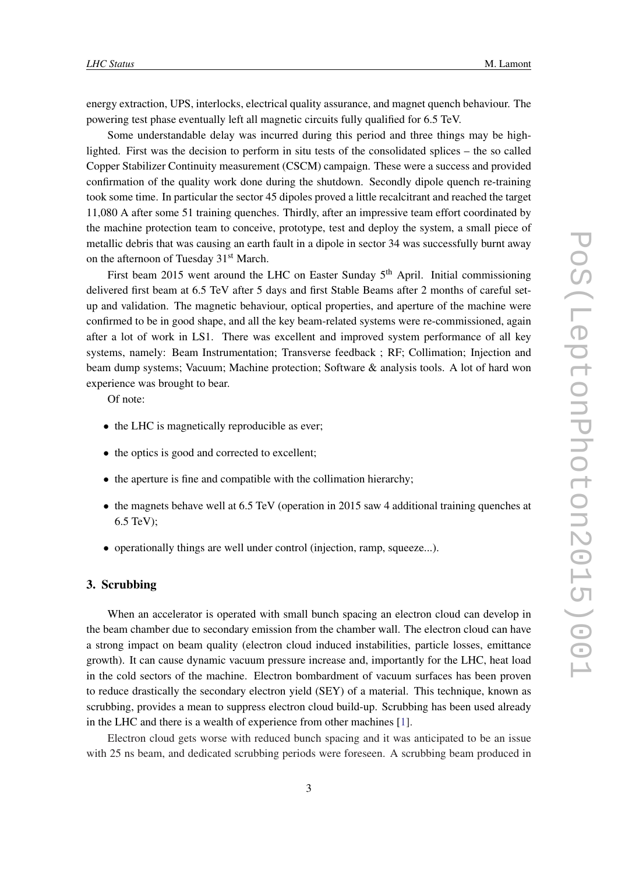energy extraction, UPS, interlocks, electrical quality assurance, and magnet quench behaviour. The powering test phase eventually left all magnetic circuits fully qualified for 6.5 TeV.

Some understandable delay was incurred during this period and three things may be highlighted. First was the decision to perform in situ tests of the consolidated splices – the so called Copper Stabilizer Continuity measurement (CSCM) campaign. These were a success and provided confirmation of the quality work done during the shutdown. Secondly dipole quench re-training took some time. In particular the sector 45 dipoles proved a little recalcitrant and reached the target 11,080 A after some 51 training quenches. Thirdly, after an impressive team effort coordinated by the machine protection team to conceive, prototype, test and deploy the system, a small piece of metallic debris that was causing an earth fault in a dipole in sector 34 was successfully burnt away on the afternoon of Tuesday 31<sup>st</sup> March.

First beam 2015 went around the LHC on Easter Sunday  $5<sup>th</sup>$  April. Initial commissioning delivered first beam at 6.5 TeV after 5 days and first Stable Beams after 2 months of careful setup and validation. The magnetic behaviour, optical properties, and aperture of the machine were confirmed to be in good shape, and all the key beam-related systems were re-commissioned, again after a lot of work in LS1. There was excellent and improved system performance of all key systems, namely: Beam Instrumentation; Transverse feedback ; RF; Collimation; Injection and beam dump systems; Vacuum; Machine protection; Software & analysis tools. A lot of hard won experience was brought to bear.

Of note:

- the LHC is magnetically reproducible as ever;
- the optics is good and corrected to excellent:
- the aperture is fine and compatible with the collimation hierarchy;
- the magnets behave well at 6.5 TeV (operation in 2015 saw 4 additional training quenches at 6.5 TeV);
- operationally things are well under control (injection, ramp, squeeze...).

#### 3. Scrubbing

When an accelerator is operated with small bunch spacing an electron cloud can develop in the beam chamber due to secondary emission from the chamber wall. The electron cloud can have a strong impact on beam quality (electron cloud induced instabilities, particle losses, emittance growth). It can cause dynamic vacuum pressure increase and, importantly for the LHC, heat load in the cold sectors of the machine. Electron bombardment of vacuum surfaces has been proven to reduce drastically the secondary electron yield (SEY) of a material. This technique, known as scrubbing, provides a mean to suppress electron cloud build-up. Scrubbing has been used already in the LHC and there is a wealth of experience from other machines [[1](#page-7-0)].

Electron cloud gets worse with reduced bunch spacing and it was anticipated to be an issue with 25 ns beam, and dedicated scrubbing periods were foreseen. A scrubbing beam produced in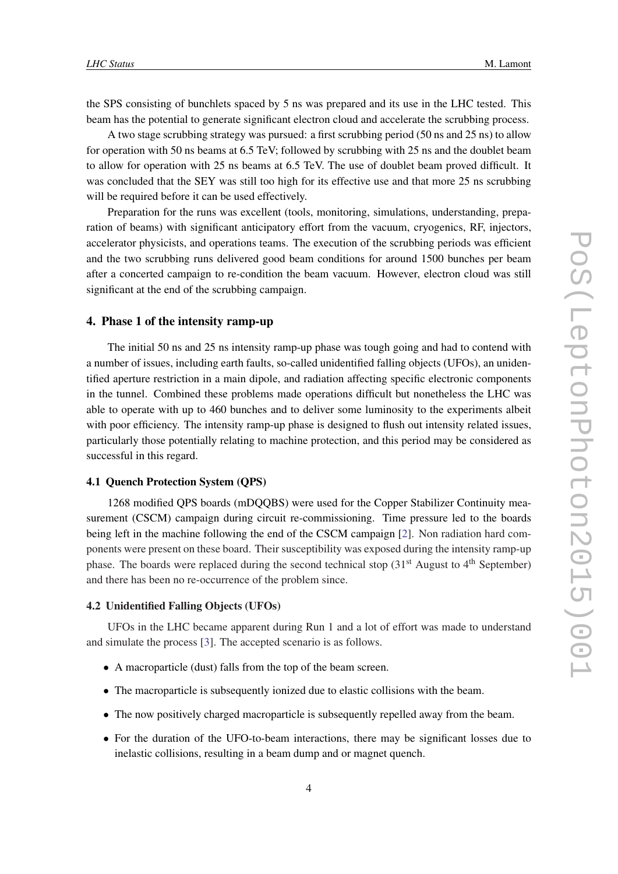the SPS consisting of bunchlets spaced by 5 ns was prepared and its use in the LHC tested. This beam has the potential to generate significant electron cloud and accelerate the scrubbing process.

A two stage scrubbing strategy was pursued: a first scrubbing period (50 ns and 25 ns) to allow for operation with 50 ns beams at 6.5 TeV; followed by scrubbing with 25 ns and the doublet beam to allow for operation with 25 ns beams at 6.5 TeV. The use of doublet beam proved difficult. It was concluded that the SEY was still too high for its effective use and that more 25 ns scrubbing will be required before it can be used effectively.

Preparation for the runs was excellent (tools, monitoring, simulations, understanding, preparation of beams) with significant anticipatory effort from the vacuum, cryogenics, RF, injectors, accelerator physicists, and operations teams. The execution of the scrubbing periods was efficient and the two scrubbing runs delivered good beam conditions for around 1500 bunches per beam after a concerted campaign to re-condition the beam vacuum. However, electron cloud was still significant at the end of the scrubbing campaign.

#### 4. Phase 1 of the intensity ramp-up

The initial 50 ns and 25 ns intensity ramp-up phase was tough going and had to contend with a number of issues, including earth faults, so-called unidentified falling objects (UFOs), an unidentified aperture restriction in a main dipole, and radiation affecting specific electronic components in the tunnel. Combined these problems made operations difficult but nonetheless the LHC was able to operate with up to 460 bunches and to deliver some luminosity to the experiments albeit with poor efficiency. The intensity ramp-up phase is designed to flush out intensity related issues, particularly those potentially relating to machine protection, and this period may be considered as successful in this regard.

# 4.1 Quench Protection System (QPS)

1268 modified QPS boards (mDQQBS) were used for the Copper Stabilizer Continuity measurement (CSCM) campaign during circuit re-commissioning. Time pressure led to the boards being left in the machine following the end of the CSCM campaign [\[2\]](#page-7-0). Non radiation hard components were present on these board. Their susceptibility was exposed during the intensity ramp-up phase. The boards were replaced during the second technical stop  $(31<sup>st</sup>$  August to  $4<sup>th</sup>$  September) and there has been no re-occurrence of the problem since.

#### 4.2 Unidentified Falling Objects (UFOs)

UFOs in the LHC became apparent during Run 1 and a lot of effort was made to understand and simulate the process [[3](#page-7-0)]. The accepted scenario is as follows.

- A macroparticle (dust) falls from the top of the beam screen.
- The macroparticle is subsequently ionized due to elastic collisions with the beam.
- The now positively charged macroparticle is subsequently repelled away from the beam.
- For the duration of the UFO-to-beam interactions, there may be significant losses due to inelastic collisions, resulting in a beam dump and or magnet quench.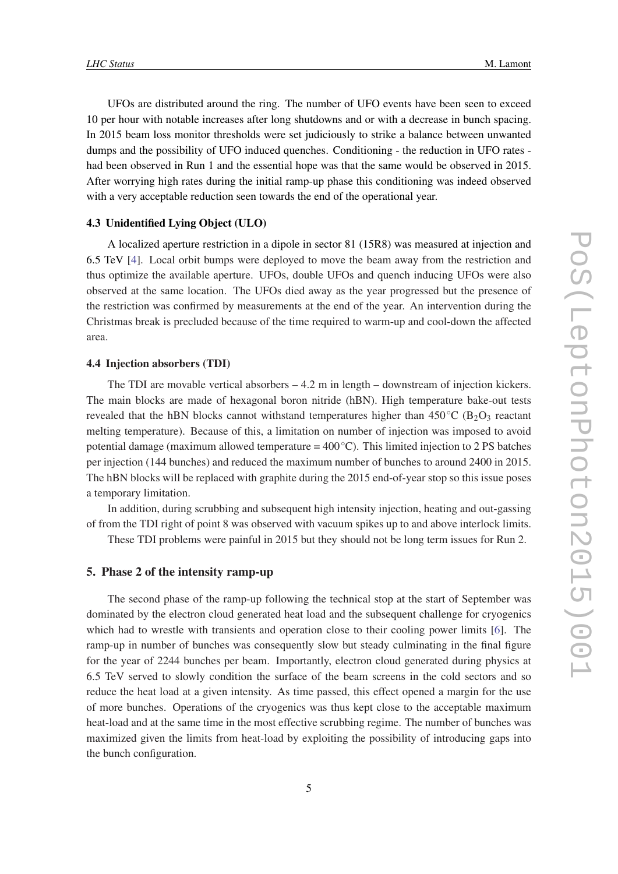UFOs are distributed around the ring. The number of UFO events have been seen to exceed 10 per hour with notable increases after long shutdowns and or with a decrease in bunch spacing. In 2015 beam loss monitor thresholds were set judiciously to strike a balance between unwanted dumps and the possibility of UFO induced quenches. Conditioning - the reduction in UFO rates had been observed in Run 1 and the essential hope was that the same would be observed in 2015. After worrying high rates during the initial ramp-up phase this conditioning was indeed observed with a very acceptable reduction seen towards the end of the operational year.

## 4.3 Unidentified Lying Object (ULO)

A localized aperture restriction in a dipole in sector 81 (15R8) was measured at injection and 6.5 TeV [\[4\]](#page-7-0). Local orbit bumps were deployed to move the beam away from the restriction and thus optimize the available aperture. UFOs, double UFOs and quench inducing UFOs were also observed at the same location. The UFOs died away as the year progressed but the presence of the restriction was confirmed by measurements at the end of the year. An intervention during the Christmas break is precluded because of the time required to warm-up and cool-down the affected area.

#### 4.4 Injection absorbers (TDI)

The TDI are movable vertical absorbers  $-4.2$  m in length  $-$  downstream of injection kickers. The main blocks are made of hexagonal boron nitride (hBN). High temperature bake-out tests revealed that the hBN blocks cannot withstand temperatures higher than 450<sup>°</sup>C (B<sub>2</sub>O<sub>3</sub> reactant melting temperature). Because of this, a limitation on number of injection was imposed to avoid potential damage (maximum allowed temperature =  $400^{\circ}$ C). This limited injection to 2 PS batches per injection (144 bunches) and reduced the maximum number of bunches to around 2400 in 2015. The hBN blocks will be replaced with graphite during the 2015 end-of-year stop so this issue poses a temporary limitation.

In addition, during scrubbing and subsequent high intensity injection, heating and out-gassing of from the TDI right of point 8 was observed with vacuum spikes up to and above interlock limits.

These TDI problems were painful in 2015 but they should not be long term issues for Run 2.

#### 5. Phase 2 of the intensity ramp-up

The second phase of the ramp-up following the technical stop at the start of September was dominated by the electron cloud generated heat load and the subsequent challenge for cryogenics which had to wrestle with transients and operation close to their cooling power limits [\[6\]](#page-7-0). The ramp-up in number of bunches was consequently slow but steady culminating in the final figure for the year of 2244 bunches per beam. Importantly, electron cloud generated during physics at 6.5 TeV served to slowly condition the surface of the beam screens in the cold sectors and so reduce the heat load at a given intensity. As time passed, this effect opened a margin for the use of more bunches. Operations of the cryogenics was thus kept close to the acceptable maximum heat-load and at the same time in the most effective scrubbing regime. The number of bunches was maximized given the limits from heat-load by exploiting the possibility of introducing gaps into the bunch configuration.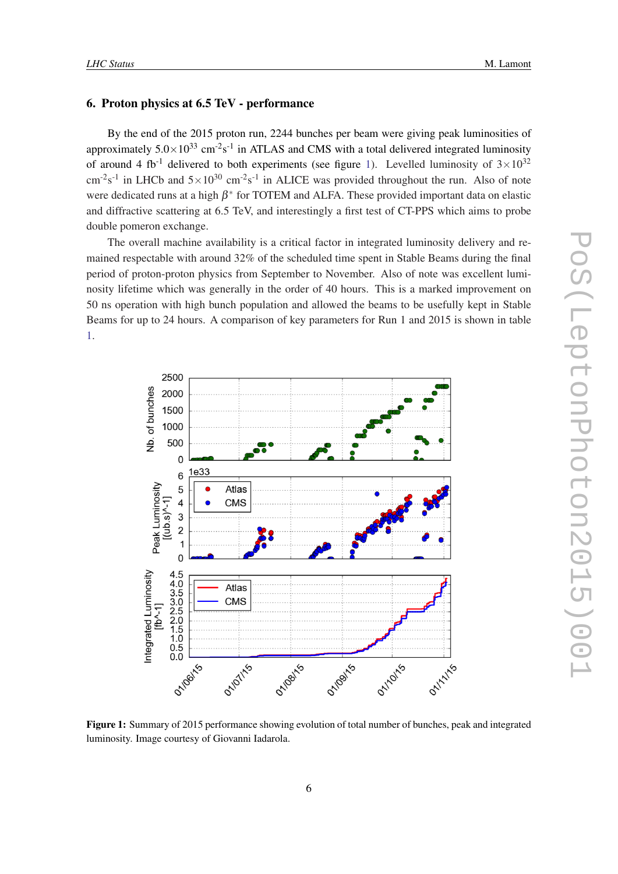## 6. Proton physics at 6.5 TeV - performance

By the end of the 2015 proton run, 2244 bunches per beam were giving peak luminosities of approximately  $5.0 \times 10^{33}$  cm<sup>-2</sup>s<sup>-1</sup> in ATLAS and CMS with a total delivered integrated luminosity of around 4 fb<sup>-1</sup> delivered to both experiments (see figure 1). Levelled luminosity of  $3\times10^{32}$  $\text{cm}^{-2}\text{s}^{-1}$  in LHCb and  $5\times10^{30}$  cm<sup>-2</sup>s<sup>-1</sup> in ALICE was provided throughout the run. Also of note were dedicated runs at a high  $\beta^*$  for TOTEM and ALFA. These provided important data on elastic and diffractive scattering at 6.5 TeV, and interestingly a first test of CT-PPS which aims to probe double pomeron exchange.

The overall machine availability is a critical factor in integrated luminosity delivery and remained respectable with around 32% of the scheduled time spent in Stable Beams during the final period of proton-proton physics from September to November. Also of note was excellent luminosity lifetime which was generally in the order of 40 hours. This is a marked improvement on 50 ns operation with high bunch population and allowed the beams to be usefully kept in Stable Beams for up to 24 hours. A comparison of key parameters for Run 1 and 2015 is shown in table [1.](#page-6-0)



Figure 1: Summary of 2015 performance showing evolution of total number of bunches, peak and integrated luminosity. Image courtesy of Giovanni Iadarola.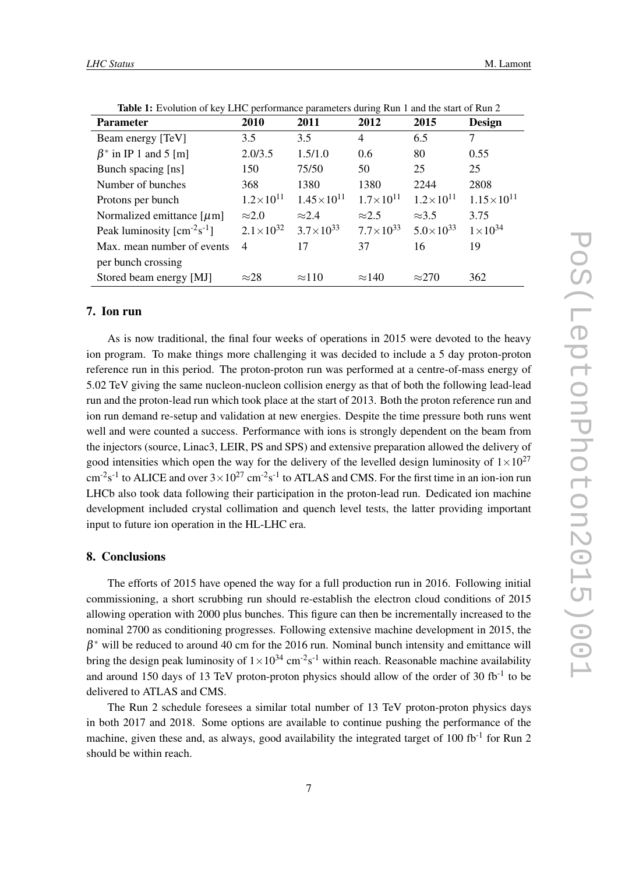<span id="page-6-0"></span>

| $\cdots$ as a changed of $\mathbf{r}$ , and $\mathbf{r}$ performance parameters canning |                      |                     |                    |                    |                     |
|-----------------------------------------------------------------------------------------|----------------------|---------------------|--------------------|--------------------|---------------------|
| <b>Parameter</b>                                                                        | 2010                 | 2011                | 2012               | 2015               | <b>Design</b>       |
| Beam energy [TeV]                                                                       | 3.5                  | 3.5                 | $\overline{4}$     | 6.5                | 7                   |
| $\beta^*$ in IP 1 and 5 [m]                                                             | 2.0/3.5              | 1.5/1.0             | $0.6^{\circ}$      | 80                 | 0.55                |
| Bunch spacing [ns]                                                                      | 150                  | 75/50               | 50                 | 25                 | 25                  |
| Number of bunches                                                                       | 368                  | 1380                | 1380               | 2244               | 2808                |
| Protons per bunch                                                                       | $1.2\times10^{11}$   | $1.45\times10^{11}$ | $1.7\times10^{11}$ | $1.2\times10^{11}$ | $1.15\times10^{11}$ |
| Normalized emittance $[\mu m]$                                                          | $\approx 2.0$        | $\approx 2.4$       | $\approx 2.5$      | $\approx 3.5$      | 3.75                |
| Peak luminosity $\lceil \text{cm}^{-2} \text{s}^{-1} \rceil$                            | $2.1 \times 10^{32}$ | $3.7\times10^{33}$  | $7.7\times10^{33}$ | $5.0\times10^{33}$ | $1 \times 10^{34}$  |
| Max. mean number of events                                                              | 4                    | 17                  | 37                 | 16                 | 19                  |
| per bunch crossing                                                                      |                      |                     |                    |                    |                     |
| Stored beam energy [MJ]                                                                 | $\approx 28$         | $\approx$ 110       | $\approx$ 140      | $\approx$ 270      | 362                 |

Table 1: Evolution of key LHC performance parameters during Run 1 and the start of Run 2

#### 7. Ion run

As is now traditional, the final four weeks of operations in 2015 were devoted to the heavy ion program. To make things more challenging it was decided to include a 5 day proton-proton reference run in this period. The proton-proton run was performed at a centre-of-mass energy of 5.02 TeV giving the same nucleon-nucleon collision energy as that of both the following lead-lead run and the proton-lead run which took place at the start of 2013. Both the proton reference run and ion run demand re-setup and validation at new energies. Despite the time pressure both runs went well and were counted a success. Performance with ions is strongly dependent on the beam from the injectors (source, Linac3, LEIR, PS and SPS) and extensive preparation allowed the delivery of good intensities which open the way for the delivery of the levelled design luminosity of  $1 \times 10^{27}$  $\rm cm^{-2}s^{-1}$  to ALICE and over  $3\times10^{27}$  cm<sup>-2</sup>s<sup>-1</sup> to ATLAS and CMS. For the first time in an ion-ion run LHCb also took data following their participation in the proton-lead run. Dedicated ion machine development included crystal collimation and quench level tests, the latter providing important input to future ion operation in the HL-LHC era.

#### 8. Conclusions

The efforts of 2015 have opened the way for a full production run in 2016. Following initial commissioning, a short scrubbing run should re-establish the electron cloud conditions of 2015 allowing operation with 2000 plus bunches. This figure can then be incrementally increased to the nominal 2700 as conditioning progresses. Following extensive machine development in 2015, the  $\beta^*$  will be reduced to around 40 cm for the 2016 run. Nominal bunch intensity and emittance will bring the design peak luminosity of  $1 \times 10^{34}$  cm<sup>-2</sup>s<sup>-1</sup> within reach. Reasonable machine availability and around 150 days of 13 TeV proton-proton physics should allow of the order of 30 fb<sup>-1</sup> to be delivered to ATLAS and CMS.

The Run 2 schedule foresees a similar total number of 13 TeV proton-proton physics days in both 2017 and 2018. Some options are available to continue pushing the performance of the machine, given these and, as always, good availability the integrated target of 100 fb<sup>-1</sup> for Run 2 should be within reach.